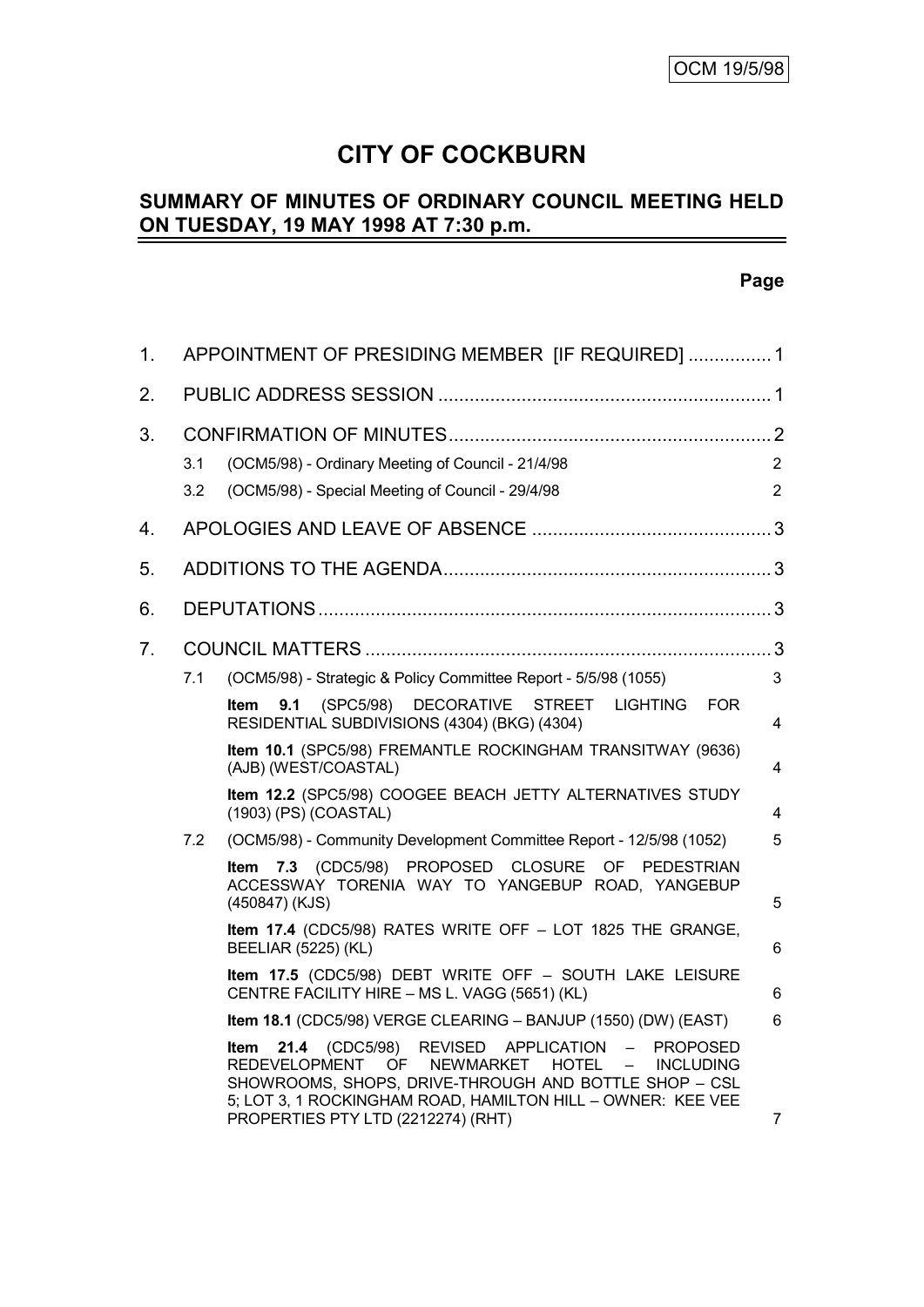# **CITY OF COCKBURN**

#### **SUMMARY OF MINUTES OF ORDINARY COUNCIL MEETING HELD ON TUESDAY, 19 MAY 1998 AT 7:30 p.m.** L,

# **Page**

| 1. |            | APPOINTMENT OF PRESIDING MEMBER [IF REQUIRED]  1                                                                                                                                                                                                                                                                                                          |                                  |  |  |  |
|----|------------|-----------------------------------------------------------------------------------------------------------------------------------------------------------------------------------------------------------------------------------------------------------------------------------------------------------------------------------------------------------|----------------------------------|--|--|--|
| 2. |            |                                                                                                                                                                                                                                                                                                                                                           |                                  |  |  |  |
| 3. | 3.1<br>3.2 | (OCM5/98) - Ordinary Meeting of Council - 21/4/98<br>(OCM5/98) - Special Meeting of Council - 29/4/98                                                                                                                                                                                                                                                     | $\overline{2}$<br>$\overline{2}$ |  |  |  |
| 4. |            |                                                                                                                                                                                                                                                                                                                                                           |                                  |  |  |  |
| 5. |            |                                                                                                                                                                                                                                                                                                                                                           |                                  |  |  |  |
| 6. |            |                                                                                                                                                                                                                                                                                                                                                           |                                  |  |  |  |
| 7. |            |                                                                                                                                                                                                                                                                                                                                                           |                                  |  |  |  |
|    | 7.1        | (OCM5/98) - Strategic & Policy Committee Report - 5/5/98 (1055)                                                                                                                                                                                                                                                                                           | 3                                |  |  |  |
|    |            | <b>DECORATIVE</b><br>STREET LIGHTING FOR<br>9.1<br>(SPC5/98)<br>Item<br>RESIDENTIAL SUBDIVISIONS (4304) (BKG) (4304)                                                                                                                                                                                                                                      | 4                                |  |  |  |
|    |            | Item 10.1 (SPC5/98) FREMANTLE ROCKINGHAM TRANSITWAY (9636)<br>(AJB) (WEST/COASTAL)                                                                                                                                                                                                                                                                        | 4                                |  |  |  |
|    |            | Item 12.2 (SPC5/98) COOGEE BEACH JETTY ALTERNATIVES STUDY<br>(1903) (PS) (COASTAL)                                                                                                                                                                                                                                                                        | 4                                |  |  |  |
|    | 7.2        | (OCM5/98) - Community Development Committee Report - 12/5/98 (1052)                                                                                                                                                                                                                                                                                       | 5                                |  |  |  |
|    |            | Item 7.3 (CDC5/98) PROPOSED CLOSURE OF PEDESTRIAN<br>ACCESSWAY TORENIA WAY TO YANGEBUP ROAD, YANGEBUP<br>(450847) (KJS)                                                                                                                                                                                                                                   | 5                                |  |  |  |
|    |            | Item 17.4 (CDC5/98) RATES WRITE OFF - LOT 1825 THE GRANGE,<br><b>BEELIAR (5225) (KL)</b>                                                                                                                                                                                                                                                                  | 6                                |  |  |  |
|    |            | Item 17.5 (CDC5/98) DEBT WRITE OFF - SOUTH LAKE LEISURE<br>CENTRE FACILITY HIRE - MS L. VAGG (5651) (KL)                                                                                                                                                                                                                                                  | 6                                |  |  |  |
|    |            | Item 18.1 (CDC5/98) VERGE CLEARING - BANJUP (1550) (DW) (EAST)                                                                                                                                                                                                                                                                                            | 6                                |  |  |  |
|    |            | REVISED APPLICATION<br><b>21.4</b> (CDC5/98)<br>$\frac{1}{2}$<br><b>PROPOSED</b><br>ltem<br><b>REDEVELOPMENT</b><br><b>NEWMARKET</b><br>OF.<br><b>HOTEL</b><br>$\equiv$<br><b>INCLUDING</b><br>SHOWROOMS, SHOPS, DRIVE-THROUGH AND BOTTLE SHOP - CSL<br>5; LOT 3, 1 ROCKINGHAM ROAD, HAMILTON HILL - OWNER: KEE VEE<br>PROPERTIES PTY LTD (2212274) (RHT) | $\overline{7}$                   |  |  |  |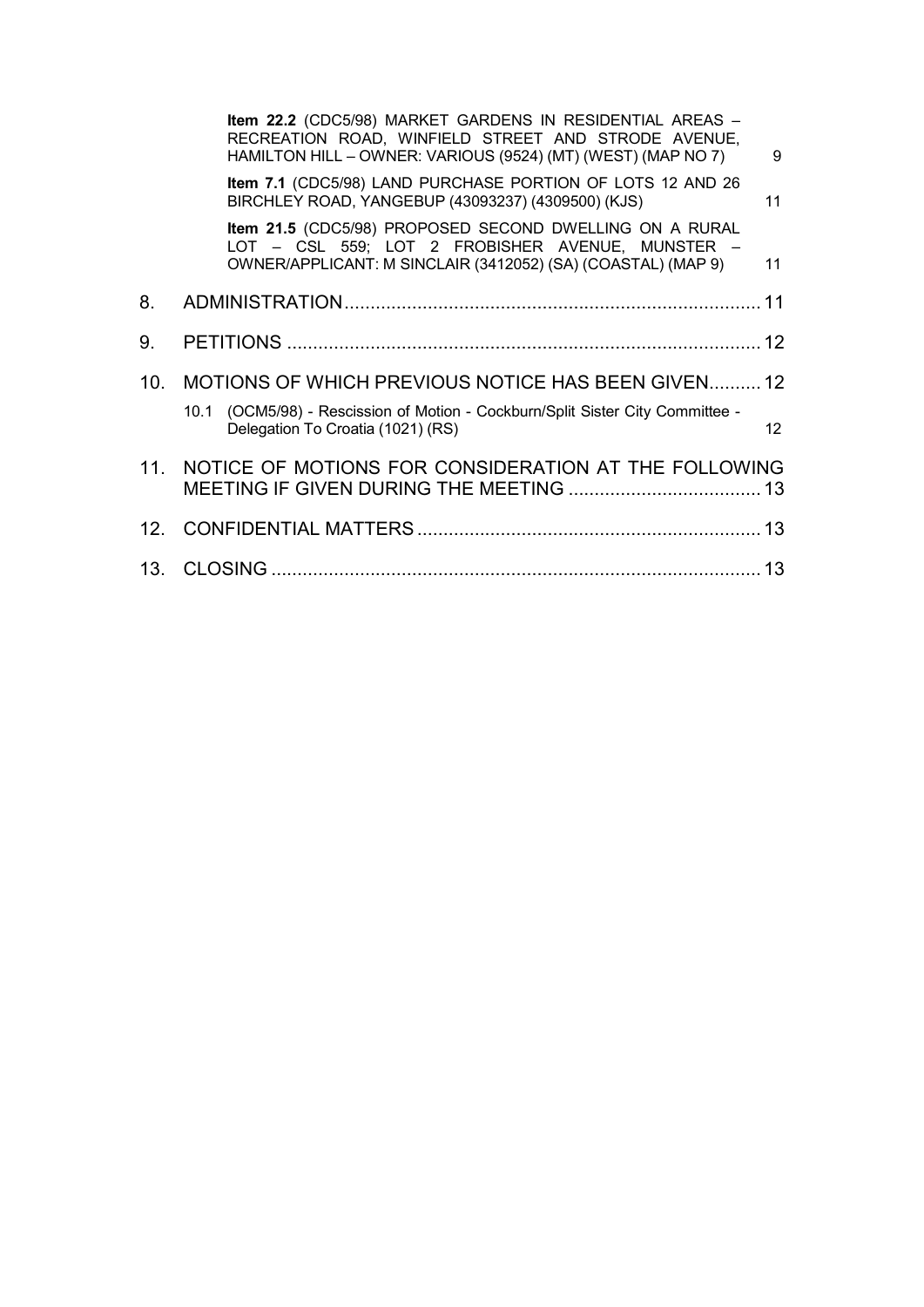|                 | Item 22.2 (CDC5/98) MARKET GARDENS IN RESIDENTIAL AREAS -<br>RECREATION ROAD, WINFIELD STREET AND STRODE AVENUE,<br>HAMILTON HILL - OWNER: VARIOUS (9524) (MT) (WEST) (MAP NO 7) | 9                 |  |  |  |
|-----------------|----------------------------------------------------------------------------------------------------------------------------------------------------------------------------------|-------------------|--|--|--|
|                 | Item 7.1 (CDC5/98) LAND PURCHASE PORTION OF LOTS 12 AND 26<br>BIRCHLEY ROAD, YANGEBUP (43093237) (4309500) (KJS)                                                                 | 11                |  |  |  |
|                 | Item 21.5 (CDC5/98) PROPOSED SECOND DWELLING ON A RURAL<br>LOT - CSL 559; LOT 2 FROBISHER AVENUE, MUNSTER -<br>OWNER/APPLICANT: M SINCLAIR (3412052) (SA) (COASTAL) (MAP 9)      | 11                |  |  |  |
| 8.              |                                                                                                                                                                                  |                   |  |  |  |
| 9.              |                                                                                                                                                                                  |                   |  |  |  |
| 10 <sub>1</sub> | MOTIONS OF WHICH PREVIOUS NOTICE HAS BEEN GIVEN12                                                                                                                                |                   |  |  |  |
|                 | 10.1 (OCM5/98) - Rescission of Motion - Cockburn/Split Sister City Committee -<br>Delegation To Croatia (1021) (RS)                                                              | $12 \overline{ }$ |  |  |  |
| 11 <sup>1</sup> | NOTICE OF MOTIONS FOR CONSIDERATION AT THE FOLLOWING                                                                                                                             |                   |  |  |  |
|                 |                                                                                                                                                                                  |                   |  |  |  |
|                 |                                                                                                                                                                                  |                   |  |  |  |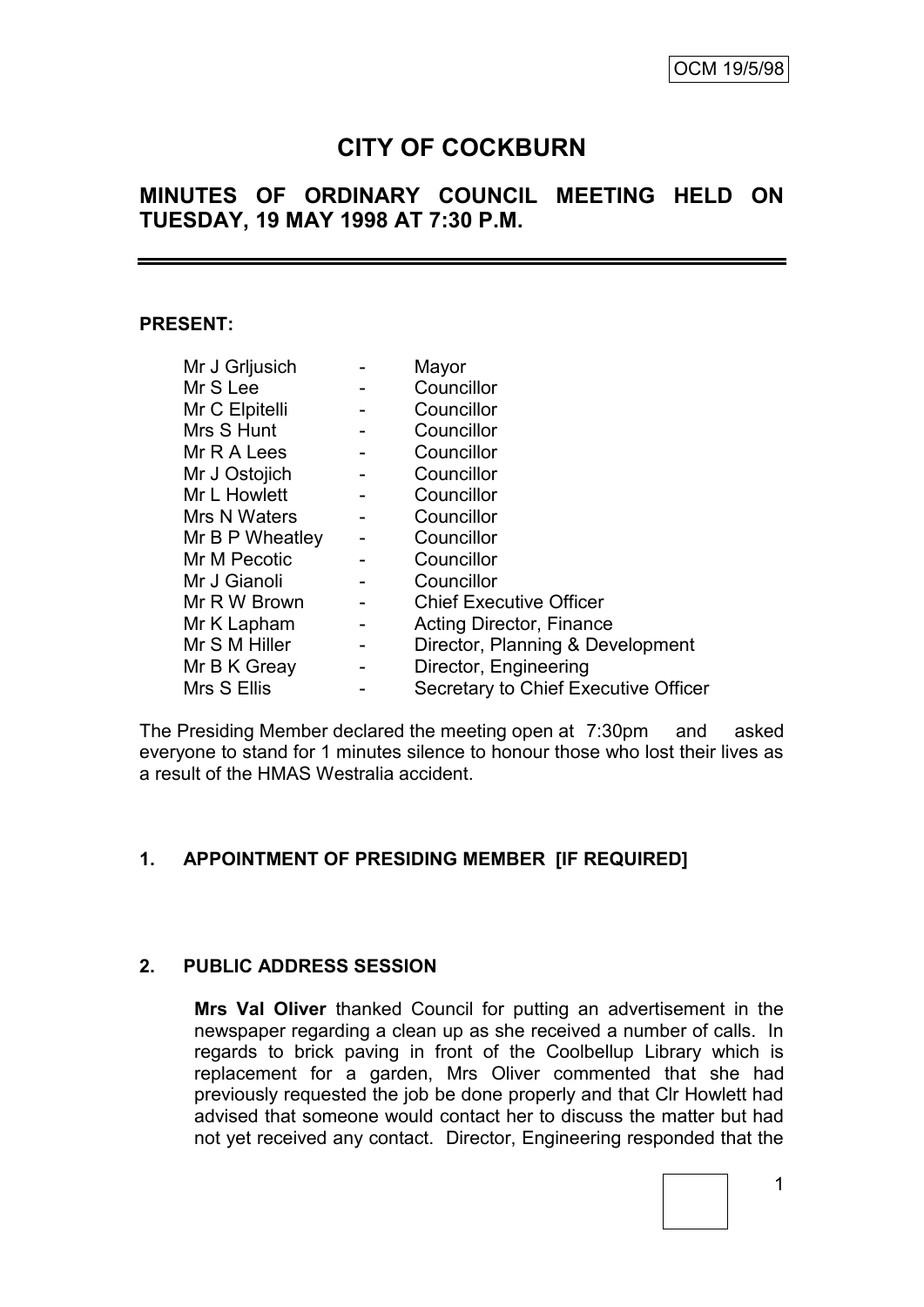# **CITY OF COCKBURN**

# **MINUTES OF ORDINARY COUNCIL MEETING HELD ON TUESDAY, 19 MAY 1998 AT 7:30 P.M.**

#### **PRESENT:**

| Mr J Grljusich  |                              | Mayor                                |
|-----------------|------------------------------|--------------------------------------|
| Mr S Lee        |                              | Councillor                           |
| Mr C Elpitelli  |                              | Councillor                           |
| Mrs S Hunt      | -                            | Councillor                           |
| Mr R A Lees     |                              | Councillor                           |
| Mr J Ostojich   |                              | Councillor                           |
| Mr L Howlett    | -                            | Councillor                           |
| Mrs N Waters    |                              | Councillor                           |
| Mr B P Wheatley |                              | Councillor                           |
| Mr M Pecotic    |                              | Councillor                           |
| Mr J Gianoli    |                              | Councillor                           |
| Mr R W Brown    | -                            | <b>Chief Executive Officer</b>       |
| Mr K Lapham     | $\overline{\phantom{a}}$     | Acting Director, Finance             |
| Mr S M Hiller   | $\qquad \qquad \blacksquare$ | Director, Planning & Development     |
| Mr B K Greay    |                              | Director, Engineering                |
| Mrs S Ellis     |                              | Secretary to Chief Executive Officer |

The Presiding Member declared the meeting open at 7:30pm and asked everyone to stand for 1 minutes silence to honour those who lost their lives as a result of the HMAS Westralia accident.

# **1. APPOINTMENT OF PRESIDING MEMBER [IF REQUIRED]**

## **2. PUBLIC ADDRESS SESSION**

**Mrs Val Oliver** thanked Council for putting an advertisement in the newspaper regarding a clean up as she received a number of calls. In regards to brick paving in front of the Coolbellup Library which is replacement for a garden, Mrs Oliver commented that she had previously requested the job be done properly and that Clr Howlett had advised that someone would contact her to discuss the matter but had not yet received any contact. Director, Engineering responded that the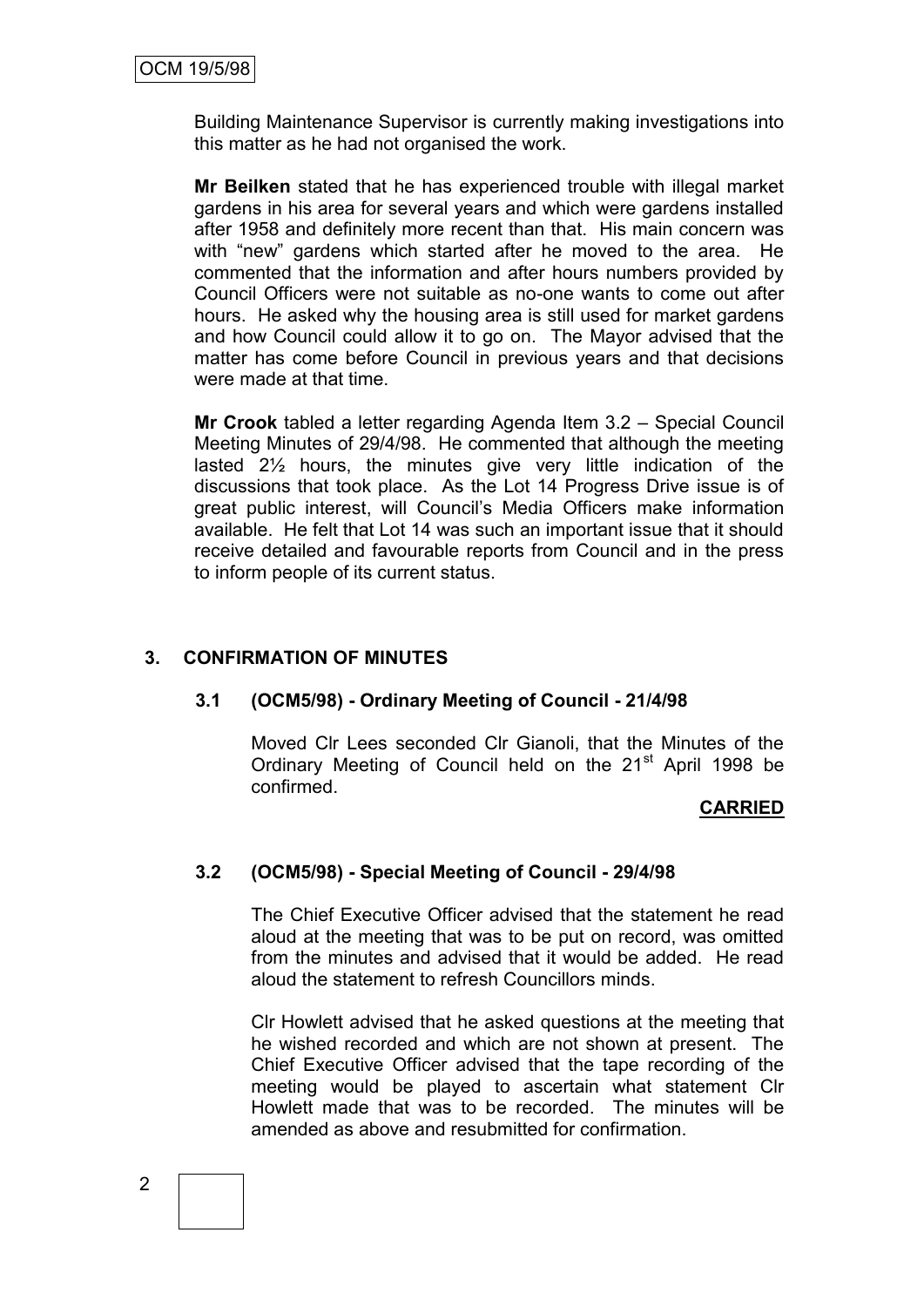Building Maintenance Supervisor is currently making investigations into this matter as he had not organised the work.

**Mr Beilken** stated that he has experienced trouble with illegal market gardens in his area for several years and which were gardens installed after 1958 and definitely more recent than that. His main concern was with "new" gardens which started after he moved to the area. He commented that the information and after hours numbers provided by Council Officers were not suitable as no-one wants to come out after hours. He asked why the housing area is still used for market gardens and how Council could allow it to go on. The Mayor advised that the matter has come before Council in previous years and that decisions were made at that time.

**Mr Crook** tabled a letter regarding Agenda Item 3.2 – Special Council Meeting Minutes of 29/4/98. He commented that although the meeting lasted 2½ hours, the minutes give very little indication of the discussions that took place. As the Lot 14 Progress Drive issue is of great public interest, will Council's Media Officers make information available. He felt that Lot 14 was such an important issue that it should receive detailed and favourable reports from Council and in the press to inform people of its current status.

# **3. CONFIRMATION OF MINUTES**

# **3.1 (OCM5/98) - Ordinary Meeting of Council - 21/4/98**

Moved Clr Lees seconded Clr Gianoli, that the Minutes of the Ordinary Meeting of Council held on the 21<sup>st</sup> April 1998 be confirmed.

## **CARRIED**

# **3.2 (OCM5/98) - Special Meeting of Council - 29/4/98**

The Chief Executive Officer advised that the statement he read aloud at the meeting that was to be put on record, was omitted from the minutes and advised that it would be added. He read aloud the statement to refresh Councillors minds.

Clr Howlett advised that he asked questions at the meeting that he wished recorded and which are not shown at present. The Chief Executive Officer advised that the tape recording of the meeting would be played to ascertain what statement Clr Howlett made that was to be recorded. The minutes will be amended as above and resubmitted for confirmation.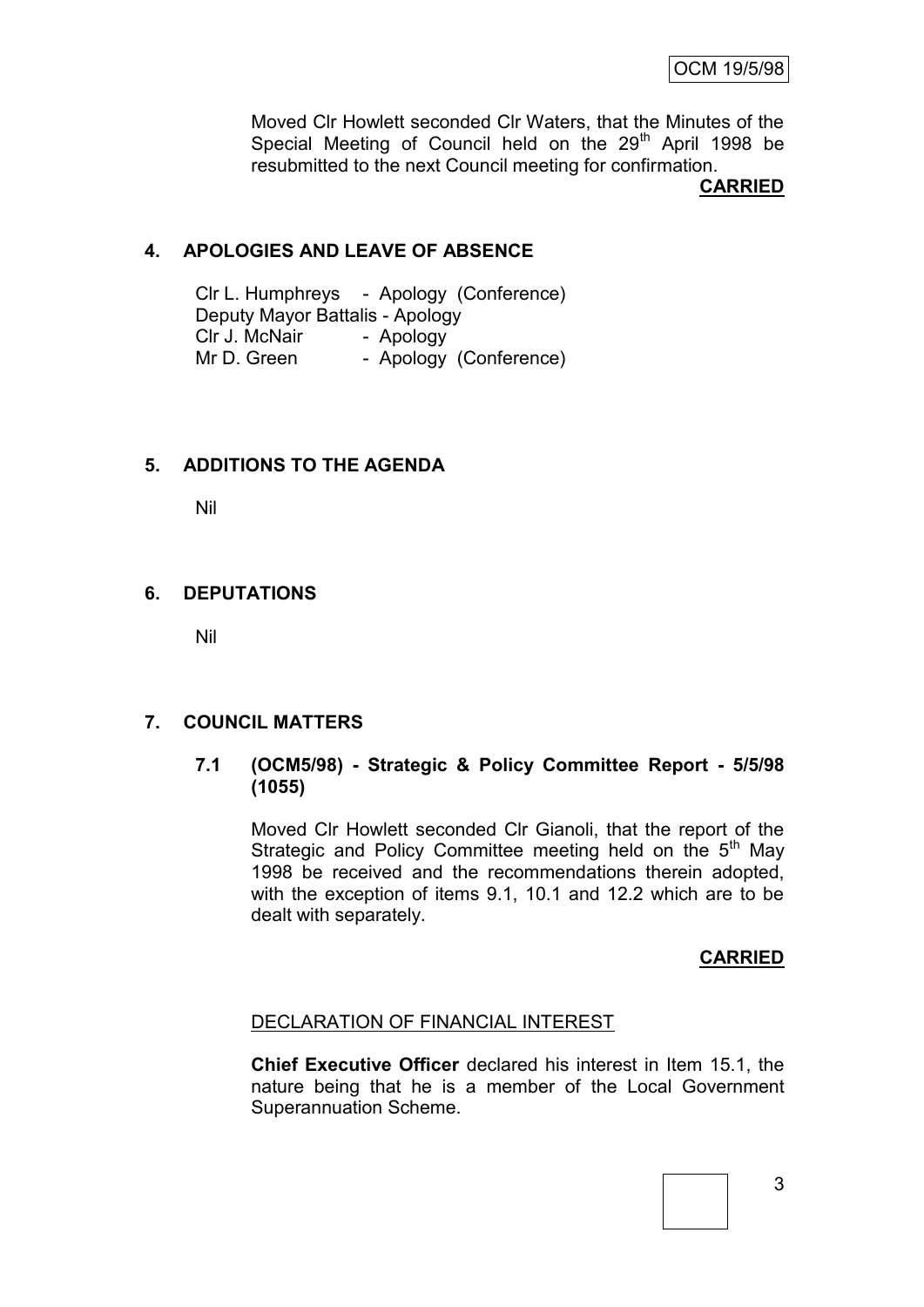Moved Clr Howlett seconded Clr Waters, that the Minutes of the Special Meeting of Council held on the  $29<sup>th</sup>$  April 1998 be resubmitted to the next Council meeting for confirmation.

**CARRIED**

## **4. APOLOGIES AND LEAVE OF ABSENCE**

Clr L. Humphreys - Apology (Conference) Deputy Mayor Battalis - Apology Clr J. McNair - Apology Mr D. Green - Apology (Conference)

# **5. ADDITIONS TO THE AGENDA**

Nil

# **6. DEPUTATIONS**

Nil

## **7. COUNCIL MATTERS**

## **7.1 (OCM5/98) - Strategic & Policy Committee Report - 5/5/98 (1055)**

Moved Clr Howlett seconded Clr Gianoli, that the report of the Strategic and Policy Committee meeting held on the 5<sup>th</sup> May 1998 be received and the recommendations therein adopted, with the exception of items 9.1, 10.1 and 12.2 which are to be dealt with separately.

## **CARRIED**

## DECLARATION OF FINANCIAL INTEREST

**Chief Executive Officer** declared his interest in Item 15.1, the nature being that he is a member of the Local Government Superannuation Scheme.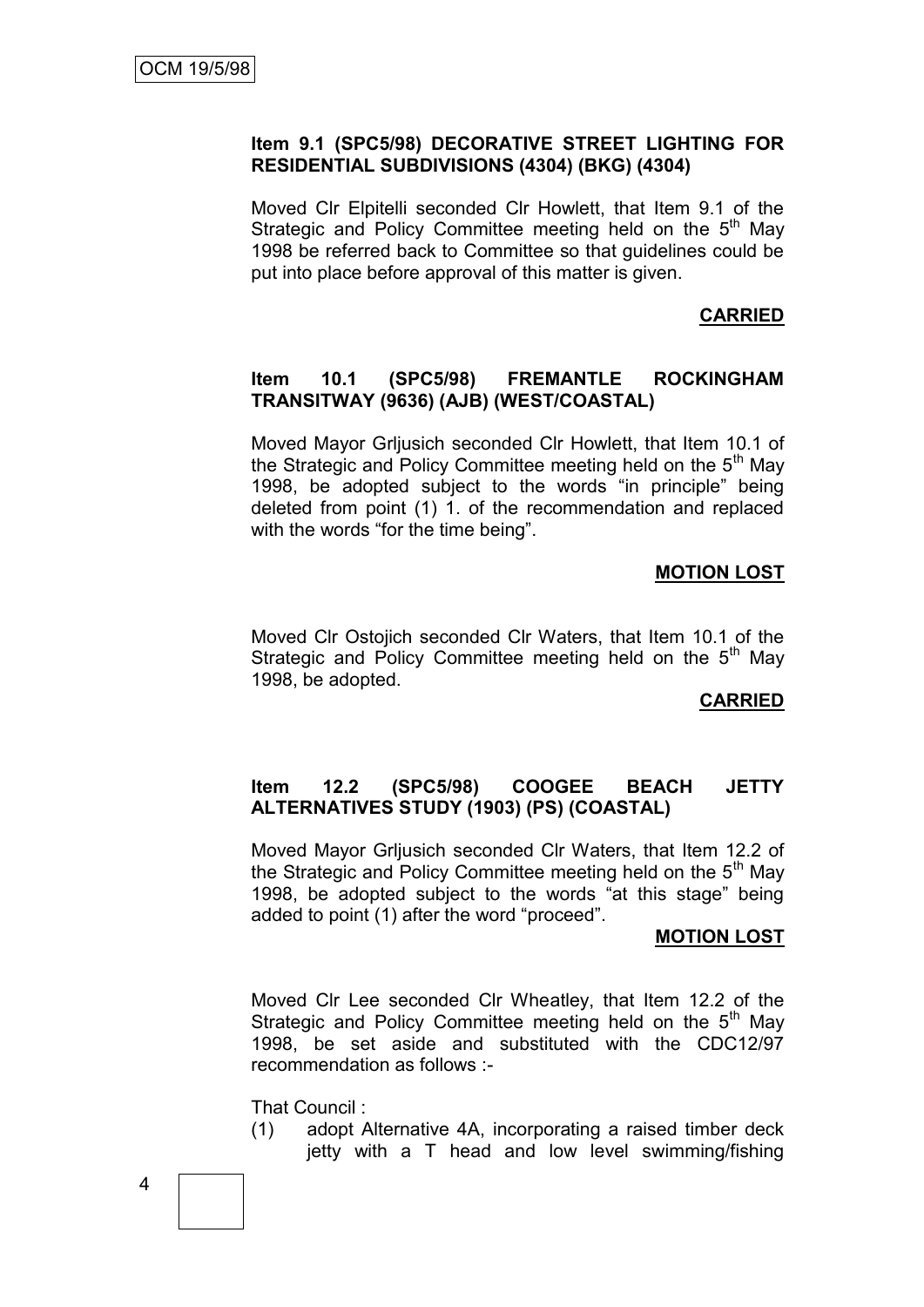## **Item 9.1 (SPC5/98) DECORATIVE STREET LIGHTING FOR RESIDENTIAL SUBDIVISIONS (4304) (BKG) (4304)**

Moved Clr Elpitelli seconded Clr Howlett, that Item 9.1 of the Strategic and Policy Committee meeting held on the  $5<sup>th</sup>$  May 1998 be referred back to Committee so that guidelines could be put into place before approval of this matter is given.

## **CARRIED**

#### **Item 10.1 (SPC5/98) FREMANTLE ROCKINGHAM TRANSITWAY (9636) (AJB) (WEST/COASTAL)**

Moved Mayor Grljusich seconded Clr Howlett, that Item 10.1 of the Strategic and Policy Committee meeting held on the  $5<sup>th</sup>$  May 1998, be adopted subject to the words "in principle" being deleted from point (1) 1. of the recommendation and replaced with the words "for the time being".

#### **MOTION LOST**

Moved Clr Ostojich seconded Clr Waters, that Item 10.1 of the Strategic and Policy Committee meeting held on the  $5<sup>m</sup>$  May 1998, be adopted.

#### **CARRIED**

#### **Item 12.2 (SPC5/98) COOGEE BEACH JETTY ALTERNATIVES STUDY (1903) (PS) (COASTAL)**

Moved Mayor Grljusich seconded Clr Waters, that Item 12.2 of the Strategic and Policy Committee meeting held on the  $5<sup>th</sup>$  May 1998, be adopted subject to the words "at this stage" being added to point (1) after the word "proceed".

#### **MOTION LOST**

Moved Clr Lee seconded Clr Wheatley, that Item 12.2 of the Strategic and Policy Committee meeting held on the  $5<sup>th</sup>$  May 1998, be set aside and substituted with the CDC12/97 recommendation as follows :-

That Council :

(1) adopt Alternative 4A, incorporating a raised timber deck jetty with a T head and low level swimming/fishing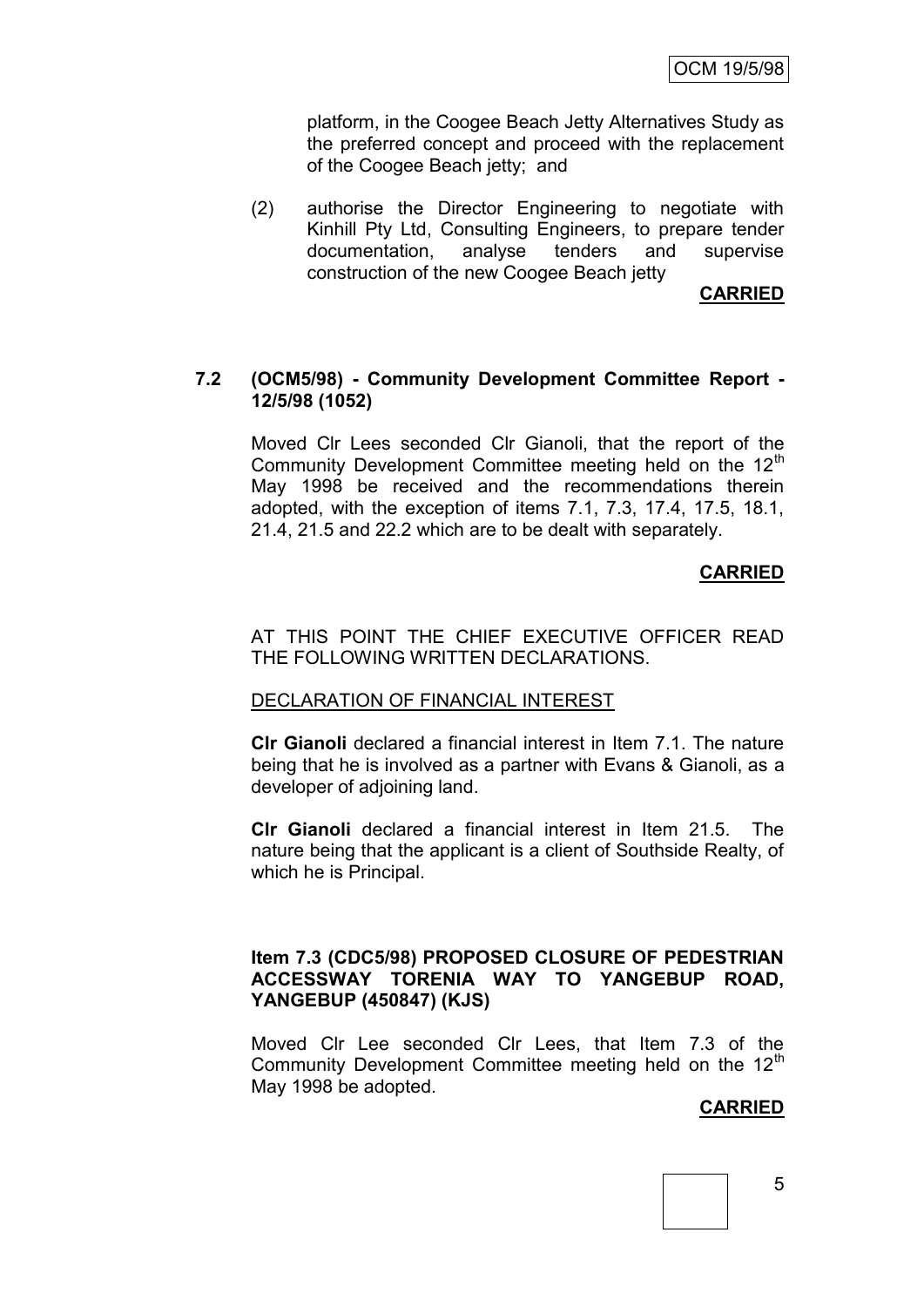OCM 19/5/98

platform, in the Coogee Beach Jetty Alternatives Study as the preferred concept and proceed with the replacement of the Coogee Beach jetty; and

(2) authorise the Director Engineering to negotiate with Kinhill Pty Ltd, Consulting Engineers, to prepare tender documentation, analyse tenders and supervise construction of the new Coogee Beach jetty

**CARRIED**

#### **7.2 (OCM5/98) - Community Development Committee Report - 12/5/98 (1052)**

Moved Clr Lees seconded Clr Gianoli, that the report of the Community Development Committee meeting held on the 12<sup>th</sup> May 1998 be received and the recommendations therein adopted, with the exception of items 7.1, 7.3, 17.4, 17.5, 18.1, 21.4, 21.5 and 22.2 which are to be dealt with separately.

## **CARRIED**

#### AT THIS POINT THE CHIEF EXECUTIVE OFFICER READ THE FOLLOWING WRITTEN DECLARATIONS.

#### DECLARATION OF FINANCIAL INTEREST

**Clr Gianoli** declared a financial interest in Item 7.1. The nature being that he is involved as a partner with Evans & Gianoli, as a developer of adjoining land.

**Clr Gianoli** declared a financial interest in Item 21.5. The nature being that the applicant is a client of Southside Realty, of which he is Principal.

#### **Item 7.3 (CDC5/98) PROPOSED CLOSURE OF PEDESTRIAN ACCESSWAY TORENIA WAY TO YANGEBUP ROAD, YANGEBUP (450847) (KJS)**

Moved Clr Lee seconded Clr Lees, that Item 7.3 of the Community Development Committee meeting held on the 12<sup>th</sup> May 1998 be adopted.

## **CARRIED**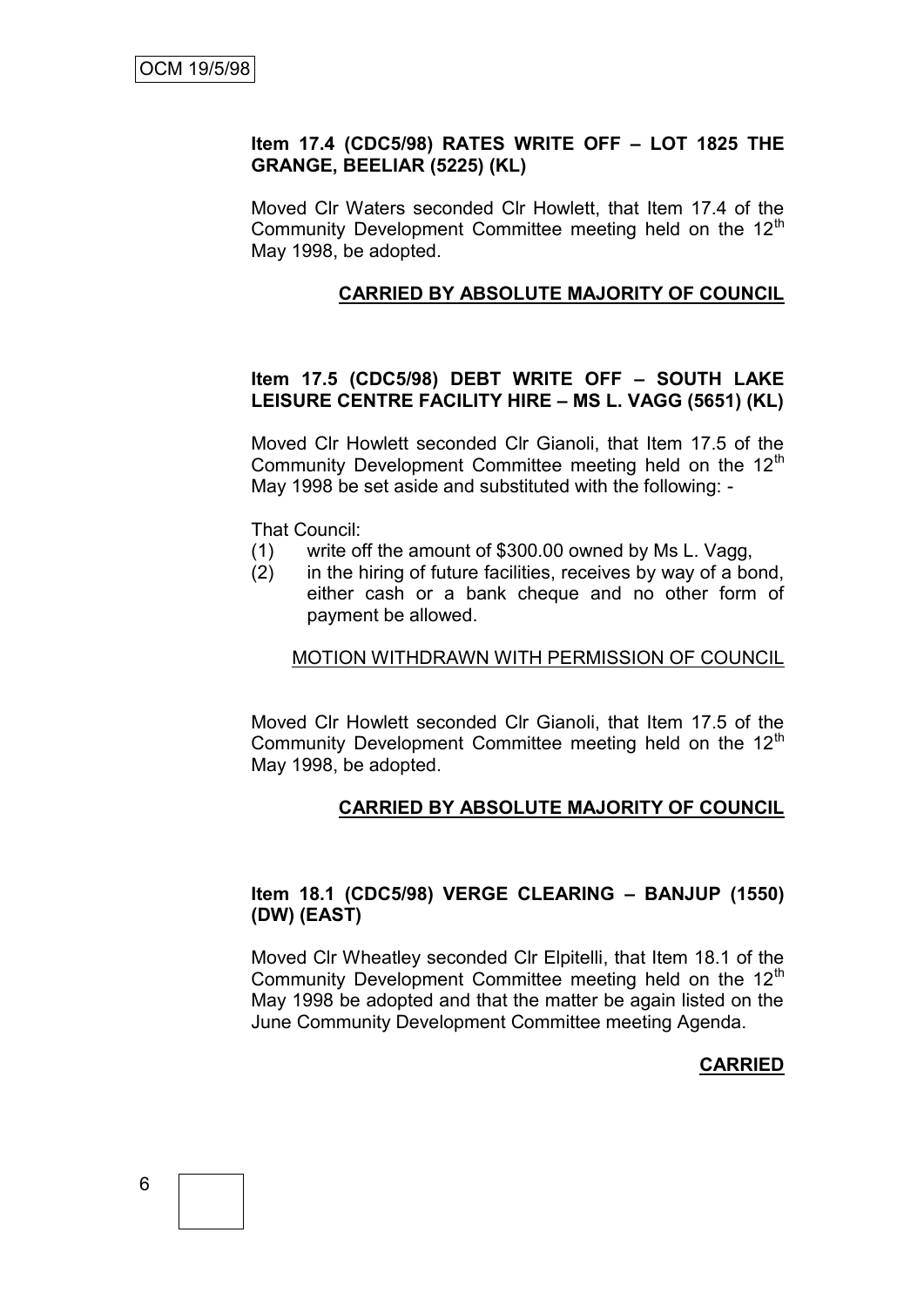#### **Item 17.4 (CDC5/98) RATES WRITE OFF – LOT 1825 THE GRANGE, BEELIAR (5225) (KL)**

Moved Clr Waters seconded Clr Howlett, that Item 17.4 of the Community Development Committee meeting held on the 12<sup>th</sup> May 1998, be adopted.

#### **CARRIED BY ABSOLUTE MAJORITY OF COUNCIL**

## **Item 17.5 (CDC5/98) DEBT WRITE OFF – SOUTH LAKE LEISURE CENTRE FACILITY HIRE – MS L. VAGG (5651) (KL)**

Moved Clr Howlett seconded Clr Gianoli, that Item 17.5 of the Community Development Committee meeting held on the 12<sup>th</sup> May 1998 be set aside and substituted with the following: -

That Council:

- (1) write off the amount of \$300.00 owned by Ms L. Vagg,
- (2) in the hiring of future facilities, receives by way of a bond, either cash or a bank cheque and no other form of payment be allowed.

## MOTION WITHDRAWN WITH PERMISSION OF COUNCIL

Moved Clr Howlett seconded Clr Gianoli, that Item 17.5 of the Community Development Committee meeting held on the 12<sup>th</sup> May 1998, be adopted.

#### **CARRIED BY ABSOLUTE MAJORITY OF COUNCIL**

## **Item 18.1 (CDC5/98) VERGE CLEARING – BANJUP (1550) (DW) (EAST)**

Moved Clr Wheatley seconded Clr Elpitelli, that Item 18.1 of the Community Development Committee meeting held on the  $12<sup>th</sup>$ May 1998 be adopted and that the matter be again listed on the June Community Development Committee meeting Agenda.

#### **CARRIED**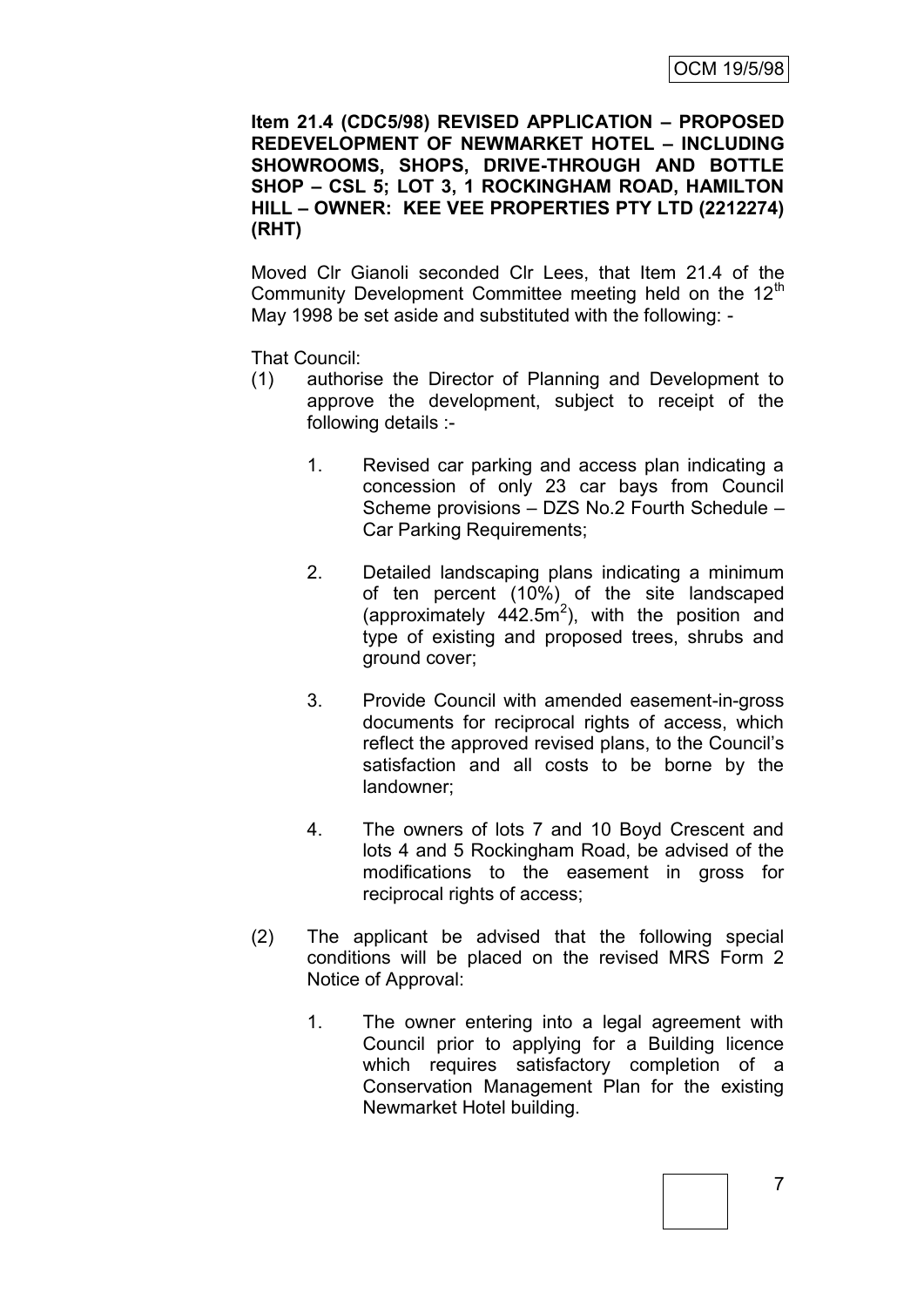**Item 21.4 (CDC5/98) REVISED APPLICATION – PROPOSED REDEVELOPMENT OF NEWMARKET HOTEL – INCLUDING SHOWROOMS, SHOPS, DRIVE-THROUGH AND BOTTLE SHOP – CSL 5; LOT 3, 1 ROCKINGHAM ROAD, HAMILTON HILL – OWNER: KEE VEE PROPERTIES PTY LTD (2212274) (RHT)**

Moved Clr Gianoli seconded Clr Lees, that Item 21.4 of the Community Development Committee meeting held on the 12<sup>th</sup> May 1998 be set aside and substituted with the following: -

That Council:

- (1) authorise the Director of Planning and Development to approve the development, subject to receipt of the following details :-
	- 1. Revised car parking and access plan indicating a concession of only 23 car bays from Council Scheme provisions – DZS No.2 Fourth Schedule – Car Parking Requirements;
	- 2. Detailed landscaping plans indicating a minimum of ten percent (10%) of the site landscaped (approximately  $442.5m^2$ ), with the position and type of existing and proposed trees, shrubs and ground cover;
	- 3. Provide Council with amended easement-in-gross documents for reciprocal rights of access, which reflect the approved revised plans, to the Council's satisfaction and all costs to be borne by the landowner;
	- 4. The owners of lots 7 and 10 Boyd Crescent and lots 4 and 5 Rockingham Road, be advised of the modifications to the easement in gross for reciprocal rights of access;
- (2) The applicant be advised that the following special conditions will be placed on the revised MRS Form 2 Notice of Approval:
	- 1. The owner entering into a legal agreement with Council prior to applying for a Building licence which requires satisfactory completion of a Conservation Management Plan for the existing Newmarket Hotel building.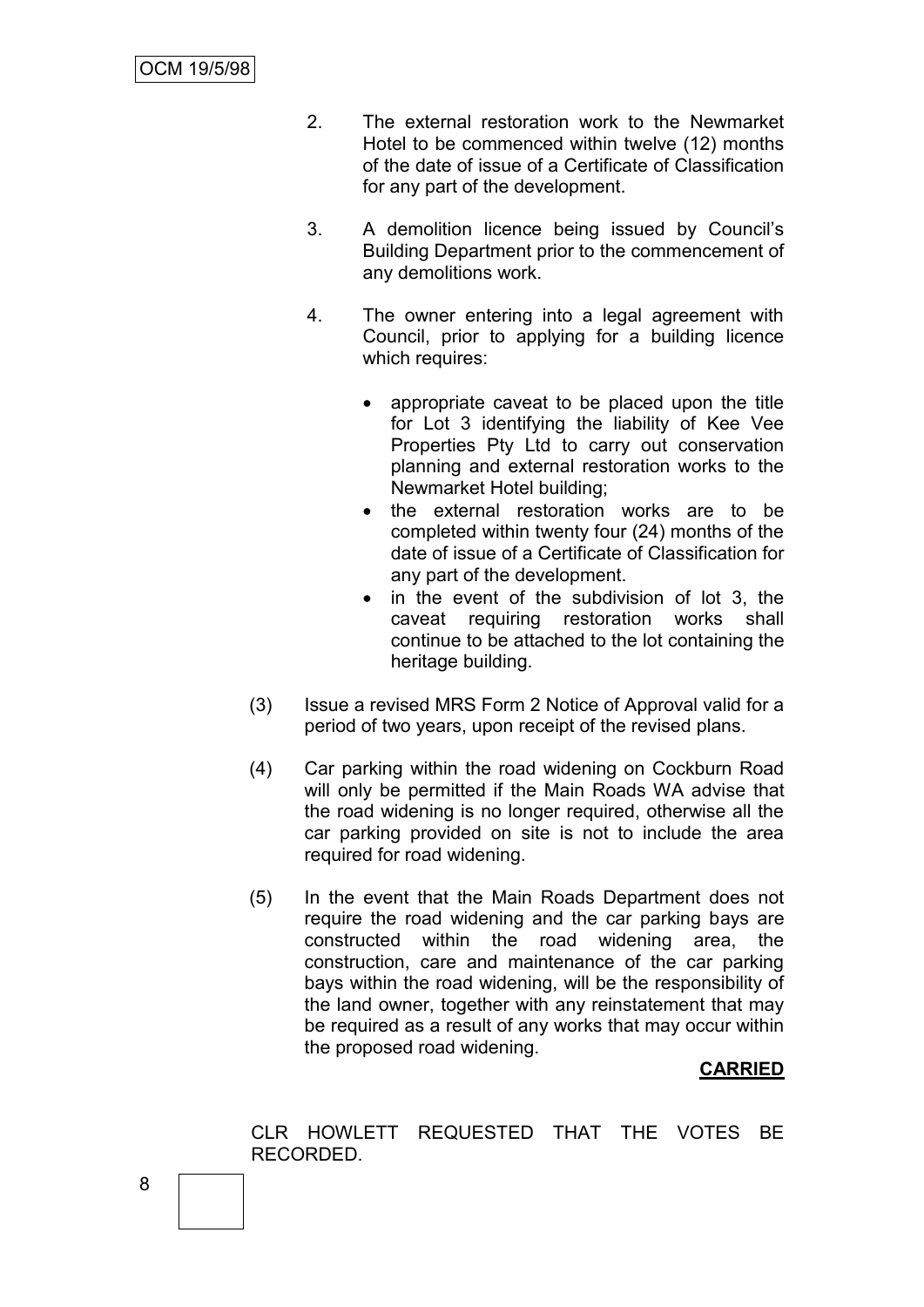- 2. The external restoration work to the Newmarket Hotel to be commenced within twelve (12) months of the date of issue of a Certificate of Classification for any part of the development.
- 3. A demolition licence being issued by Council's Building Department prior to the commencement of any demolitions work.
- 4. The owner entering into a legal agreement with Council, prior to applying for a building licence which requires:
	- appropriate caveat to be placed upon the title for Lot 3 identifying the liability of Kee Vee Properties Pty Ltd to carry out conservation planning and external restoration works to the Newmarket Hotel building;
	- the external restoration works are to be completed within twenty four (24) months of the date of issue of a Certificate of Classification for any part of the development.
	- in the event of the subdivision of lot 3, the caveat requiring restoration works shall continue to be attached to the lot containing the heritage building.
- (3) Issue a revised MRS Form 2 Notice of Approval valid for a period of two years, upon receipt of the revised plans.
- (4) Car parking within the road widening on Cockburn Road will only be permitted if the Main Roads WA advise that the road widening is no longer required, otherwise all the car parking provided on site is not to include the area required for road widening.
- (5) In the event that the Main Roads Department does not require the road widening and the car parking bays are constructed within the road widening area, the construction, care and maintenance of the car parking bays within the road widening, will be the responsibility of the land owner, together with any reinstatement that may be required as a result of any works that may occur within the proposed road widening.

# **CARRIED**

CLR HOWLETT REQUESTED THAT THE VOTES BE RECORDED.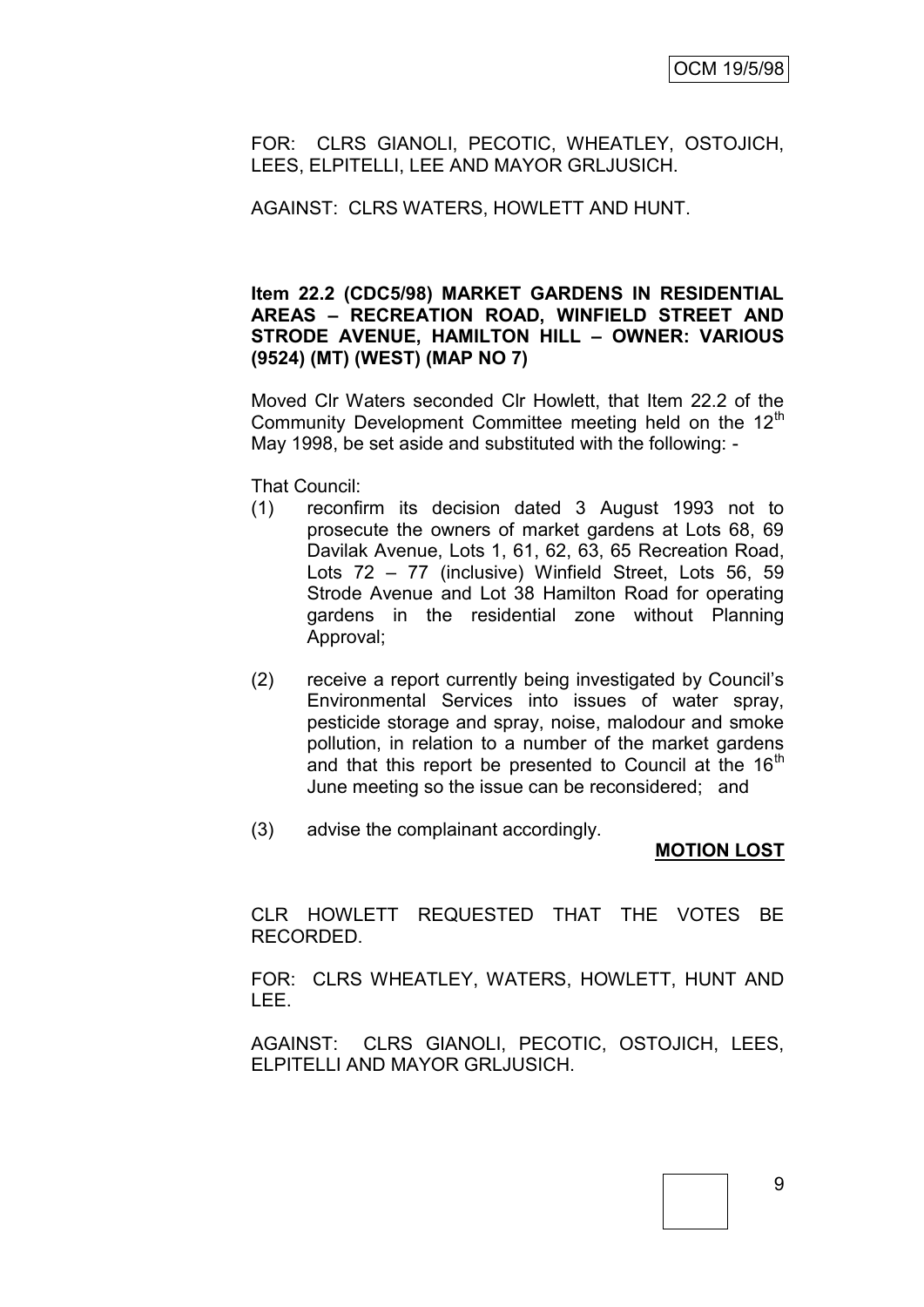FOR: CLRS GIANOLI, PECOTIC, WHEATLEY, OSTOJICH, LEES, ELPITELLI, LEE AND MAYOR GRLJUSICH.

AGAINST: CLRS WATERS, HOWLETT AND HUNT.

#### **Item 22.2 (CDC5/98) MARKET GARDENS IN RESIDENTIAL AREAS – RECREATION ROAD, WINFIELD STREET AND STRODE AVENUE, HAMILTON HILL – OWNER: VARIOUS (9524) (MT) (WEST) (MAP NO 7)**

Moved Clr Waters seconded Clr Howlett, that Item 22.2 of the Community Development Committee meeting held on the 12<sup>th</sup> May 1998, be set aside and substituted with the following: -

That Council:

- (1) reconfirm its decision dated 3 August 1993 not to prosecute the owners of market gardens at Lots 68, 69 Davilak Avenue, Lots 1, 61, 62, 63, 65 Recreation Road, Lots 72 – 77 (inclusive) Winfield Street, Lots 56, 59 Strode Avenue and Lot 38 Hamilton Road for operating gardens in the residential zone without Planning Approval;
- (2) receive a report currently being investigated by Council's Environmental Services into issues of water spray, pesticide storage and spray, noise, malodour and smoke pollution, in relation to a number of the market gardens and that this report be presented to Council at the  $16<sup>th</sup>$ June meeting so the issue can be reconsidered; and
- (3) advise the complainant accordingly.

## **MOTION LOST**

CLR HOWLETT REQUESTED THAT THE VOTES BE RECORDED.

FOR: CLRS WHEATLEY, WATERS, HOWLETT, HUNT AND LEE.

AGAINST: CLRS GIANOLI, PECOTIC, OSTOJICH, LEES, ELPITELLI AND MAYOR GRLJUSICH.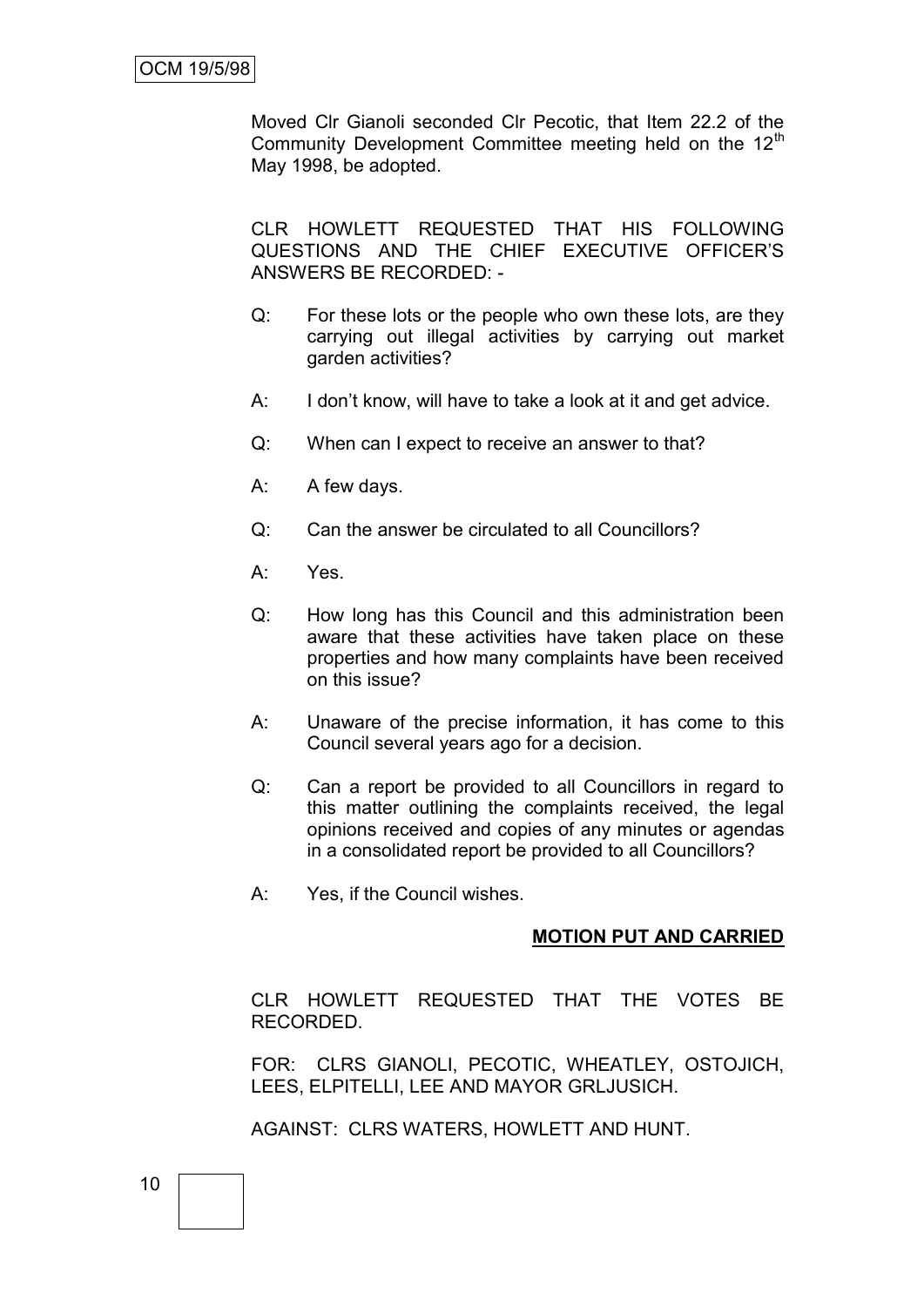Moved Clr Gianoli seconded Clr Pecotic, that Item 22.2 of the Community Development Committee meeting held on the 12<sup>th</sup> May 1998, be adopted.

CLR HOWLETT REQUESTED THAT HIS FOLLOWING QUESTIONS AND THE CHIEF EXECUTIVE OFFICER'S ANSWERS BE RECORDED: -

- Q: For these lots or the people who own these lots, are they carrying out illegal activities by carrying out market garden activities?
- A: I don't know, will have to take a look at it and get advice.
- Q: When can I expect to receive an answer to that?
- A: A few days.
- Q: Can the answer be circulated to all Councillors?
- A: Yes.
- Q: How long has this Council and this administration been aware that these activities have taken place on these properties and how many complaints have been received on this issue?
- A: Unaware of the precise information, it has come to this Council several years ago for a decision.
- Q: Can a report be provided to all Councillors in regard to this matter outlining the complaints received, the legal opinions received and copies of any minutes or agendas in a consolidated report be provided to all Councillors?
- A: Yes, if the Council wishes.

#### **MOTION PUT AND CARRIED**

CLR HOWLETT REQUESTED THAT THE VOTES BE RECORDED.

FOR: CLRS GIANOLI, PECOTIC, WHEATLEY, OSTOJICH, LEES, ELPITELLI, LEE AND MAYOR GRLJUSICH.

AGAINST: CLRS WATERS, HOWLETT AND HUNT.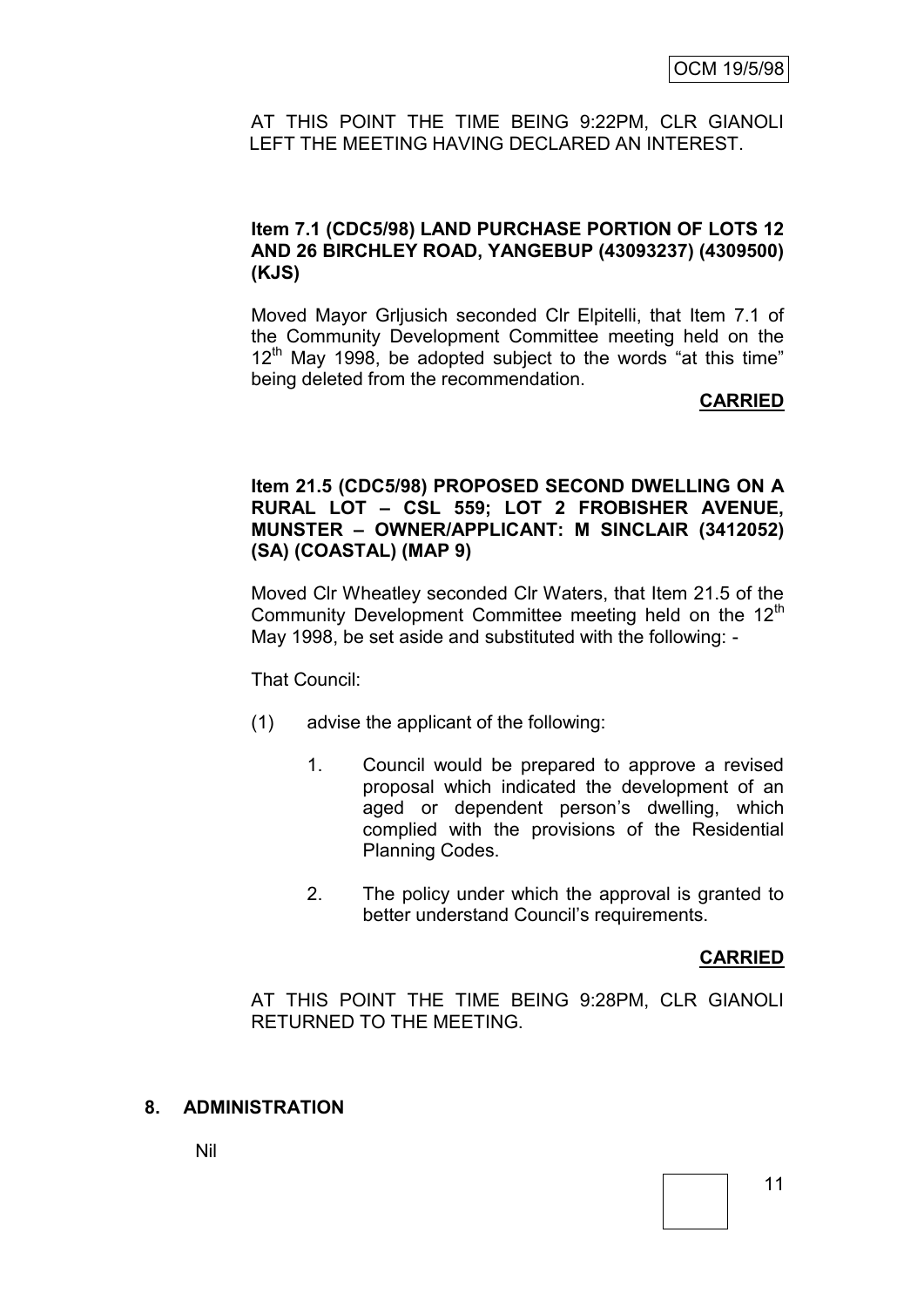AT THIS POINT THE TIME BEING 9:22PM, CLR GIANOLI LEFT THE MEETING HAVING DECLARED AN INTEREST.

## **Item 7.1 (CDC5/98) LAND PURCHASE PORTION OF LOTS 12 AND 26 BIRCHLEY ROAD, YANGEBUP (43093237) (4309500) (KJS)**

Moved Mayor Grljusich seconded Clr Elpitelli, that Item 7.1 of the Community Development Committee meeting held on the  $12<sup>th</sup>$  May 1998, be adopted subject to the words "at this time" being deleted from the recommendation.

#### **CARRIED**

## **Item 21.5 (CDC5/98) PROPOSED SECOND DWELLING ON A RURAL LOT – CSL 559; LOT 2 FROBISHER AVENUE, MUNSTER – OWNER/APPLICANT: M SINCLAIR (3412052) (SA) (COASTAL) (MAP 9)**

Moved Clr Wheatley seconded Clr Waters, that Item 21.5 of the Community Development Committee meeting held on the 12<sup>th</sup> May 1998, be set aside and substituted with the following: -

That Council:

- (1) advise the applicant of the following:
	- 1. Council would be prepared to approve a revised proposal which indicated the development of an aged or dependent person's dwelling, which complied with the provisions of the Residential Planning Codes.
	- 2. The policy under which the approval is granted to better understand Council's requirements.

## **CARRIED**

AT THIS POINT THE TIME BEING 9:28PM, CLR GIANOLI RETURNED TO THE MEETING.

## **8. ADMINISTRATION**

Nil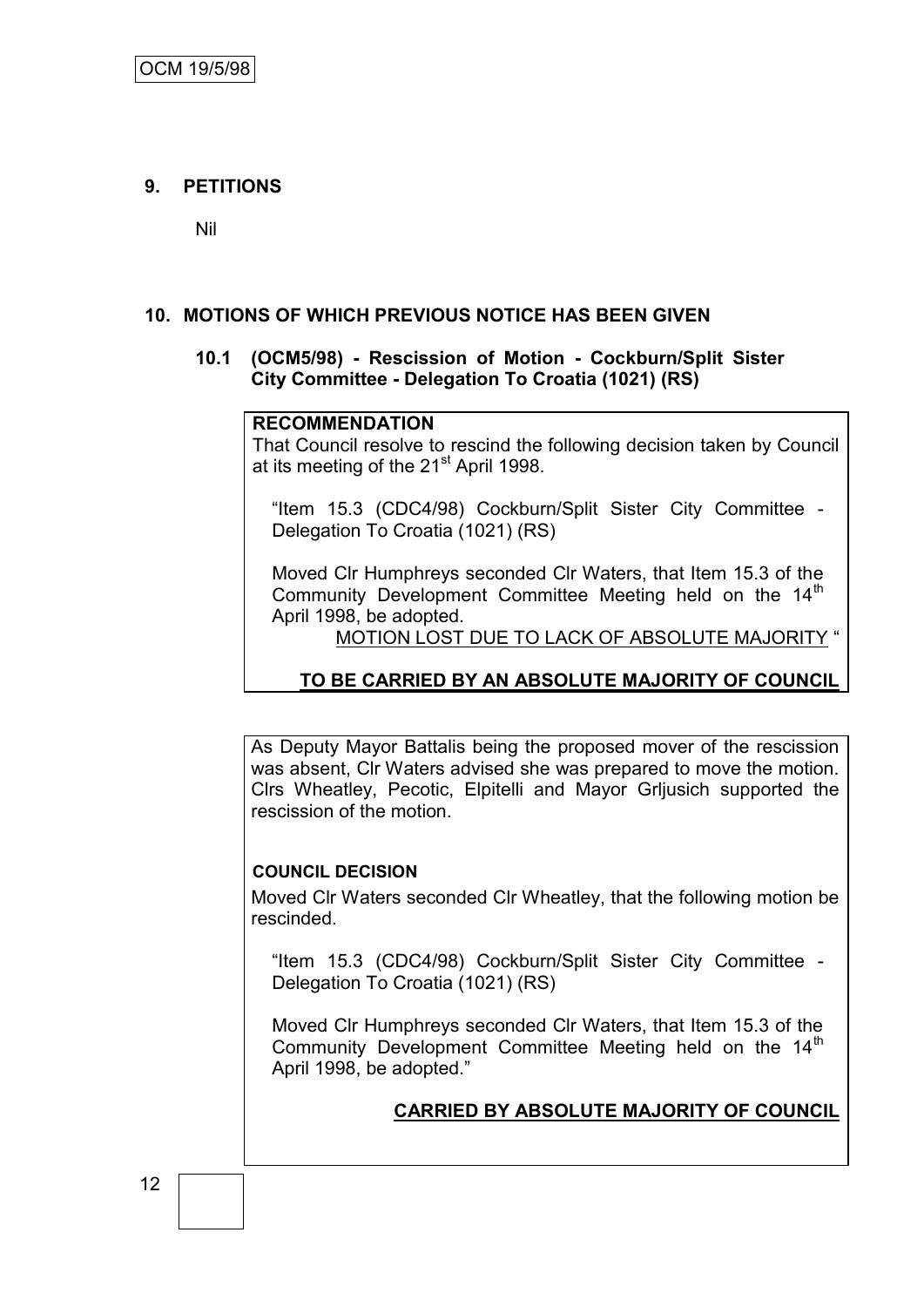# **9. PETITIONS**

Nil

## **10. MOTIONS OF WHICH PREVIOUS NOTICE HAS BEEN GIVEN**

## **10.1 (OCM5/98) - Rescission of Motion - Cockburn/Split Sister City Committee - Delegation To Croatia (1021) (RS)**

#### **RECOMMENDATION**

That Council resolve to rescind the following decision taken by Council at its meeting of the 21<sup>st</sup> April 1998.

"Item 15.3 (CDC4/98) Cockburn/Split Sister City Committee - Delegation To Croatia (1021) (RS)

Moved Clr Humphreys seconded Clr Waters, that Item 15.3 of the Community Development Committee Meeting held on the 14<sup>th</sup> April 1998, be adopted.

MOTION LOST DUE TO LACK OF ABSOLUTE MAJORITY "

# **TO BE CARRIED BY AN ABSOLUTE MAJORITY OF COUNCIL**

As Deputy Mayor Battalis being the proposed mover of the rescission was absent, Clr Waters advised she was prepared to move the motion. Clrs Wheatley, Pecotic, Elpitelli and Mayor Grljusich supported the rescission of the motion.

## **COUNCIL DECISION**

Moved Clr Waters seconded Clr Wheatley, that the following motion be rescinded.

"Item 15.3 (CDC4/98) Cockburn/Split Sister City Committee - Delegation To Croatia (1021) (RS)

Moved Clr Humphreys seconded Clr Waters, that Item 15.3 of the Community Development Committee Meeting held on the 14<sup>th</sup> April 1998, be adopted."

## **CARRIED BY ABSOLUTE MAJORITY OF COUNCIL**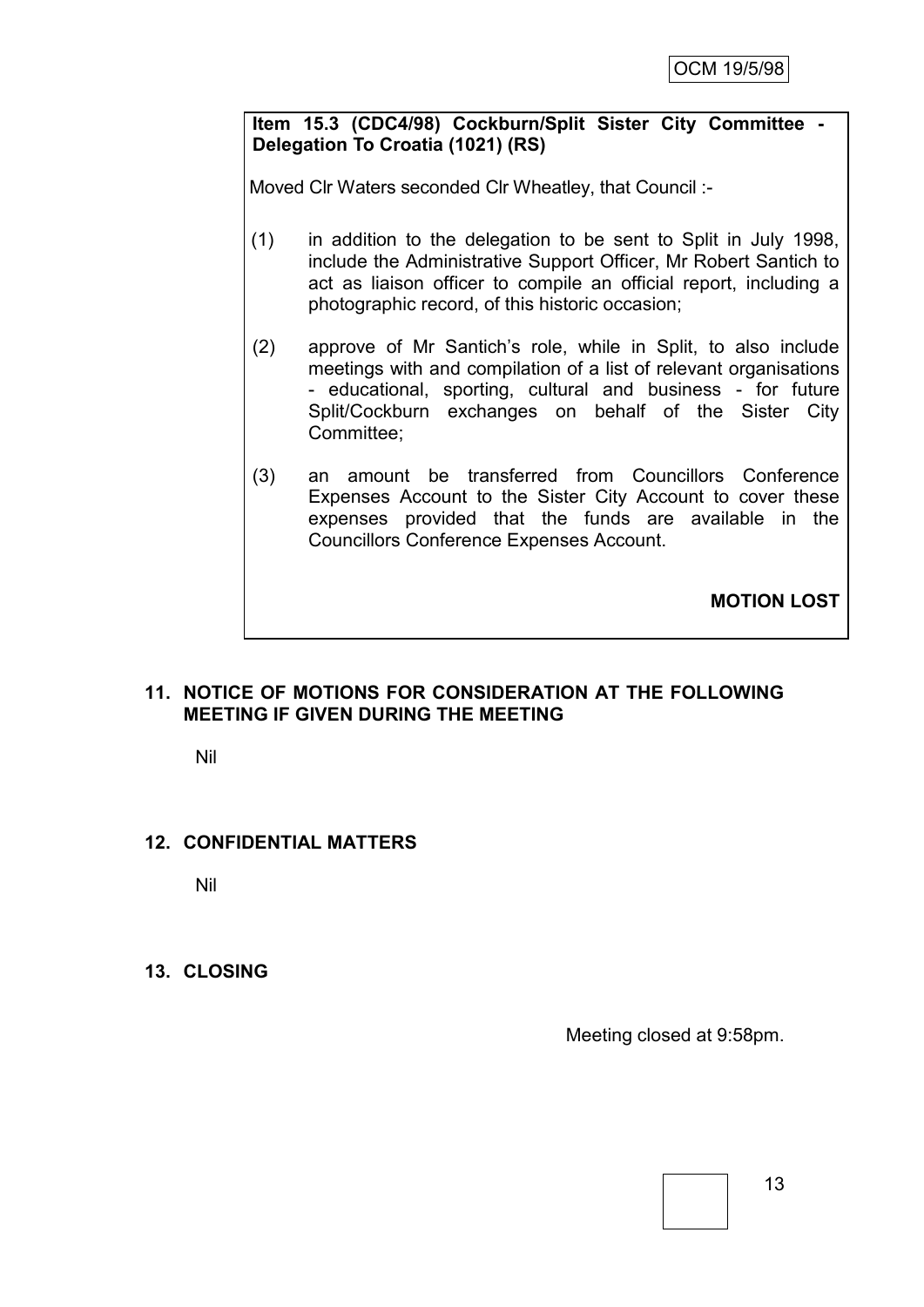## **Item 15.3 (CDC4/98) Cockburn/Split Sister City Committee - Delegation To Croatia (1021) (RS)**

Moved Clr Waters seconded Clr Wheatley, that Council :-

- (1) in addition to the delegation to be sent to Split in July 1998, include the Administrative Support Officer, Mr Robert Santich to act as liaison officer to compile an official report, including a photographic record, of this historic occasion;
- (2) approve of Mr Santich's role, while in Split, to also include meetings with and compilation of a list of relevant organisations - educational, sporting, cultural and business - for future Split/Cockburn exchanges on behalf of the Sister City Committee;
- (3) an amount be transferred from Councillors Conference Expenses Account to the Sister City Account to cover these expenses provided that the funds are available in the Councillors Conference Expenses Account.

**MOTION LOST**

## **11. NOTICE OF MOTIONS FOR CONSIDERATION AT THE FOLLOWING MEETING IF GIVEN DURING THE MEETING**

Nil

## **12. CONFIDENTIAL MATTERS**

Nil

## **13. CLOSING**

Meeting closed at 9:58pm.